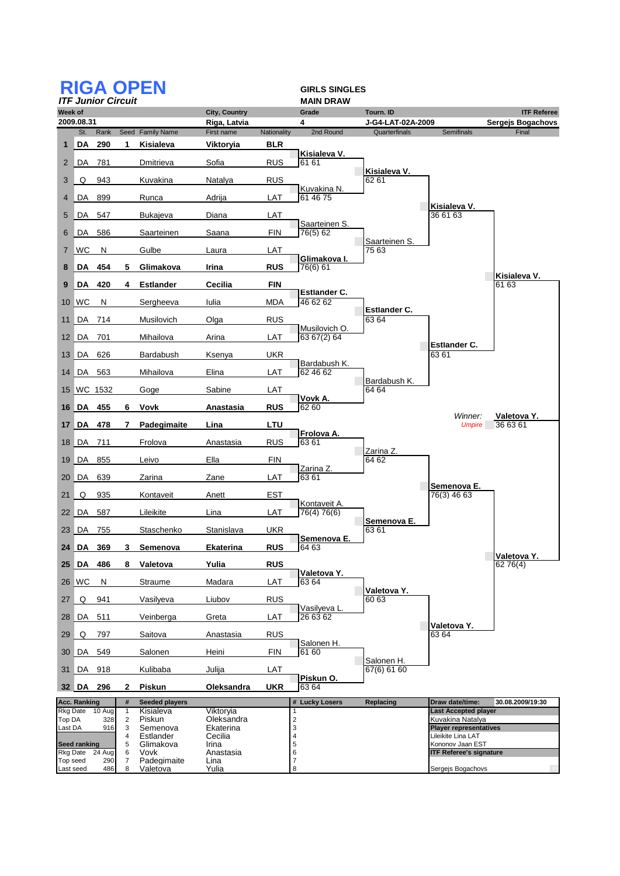|                       | <b>RIGA OPEN</b><br><b>GIRLS SINGLES</b> |                           |                     |                         |                                      |             |                              |                                |                                                     |  |  |
|-----------------------|------------------------------------------|---------------------------|---------------------|-------------------------|--------------------------------------|-------------|------------------------------|--------------------------------|-----------------------------------------------------|--|--|
|                       |                                          | <b>ITF Junior Circuit</b> |                     |                         |                                      |             | <b>MAIN DRAW</b>             |                                |                                                     |  |  |
| Week of               | 2009.08.31                               |                           |                     |                         | <b>City, Country</b><br>Riga, Latvia |             | Grade<br>4                   | Tourn. ID<br>J-G4-LAT-02A-2009 | <b>ITF Referee</b><br>Sergejs Bogachovs             |  |  |
|                       | St.                                      | Rank                      |                     | Seed Family Name        | First name                           | Nationality | 2nd Round                    | Quarterfinals                  | <b>Semifinals</b><br>Final                          |  |  |
| 1                     | DA                                       | 290                       | 1                   | Kisialeva               | <b>Viktoryia</b>                     | <b>BLR</b>  |                              |                                |                                                     |  |  |
|                       | 2 DA                                     | 781                       |                     | Dmitrieva               | Sofia                                | <b>RUS</b>  | Kisialeva V.<br>61 61        | Kisialeva V.                   |                                                     |  |  |
| 3                     | O                                        | 943                       |                     | Kuvakina                | Natalya                              | <b>RUS</b>  | Kuvakina N.                  | 62 61                          |                                                     |  |  |
| 4                     | ∥ DA                                     | 899                       |                     | Runca                   | Adrija                               | LAT         | 61 46 75                     |                                | Kisialeva V.                                        |  |  |
| 5                     | DA                                       | 547                       |                     | <b>Bukajeva</b>         | Diana                                | LAT         | Saarteinen S.                |                                | 36 61 63                                            |  |  |
| 6                     | DA                                       | 586                       |                     | Saarteinen              | Saana                                | FIN         | 76(5) 62                     | Saarteinen S.                  |                                                     |  |  |
|                       | 7 WC                                     | N                         |                     | Gulbe                   | Laura                                | LAT         | Glimakova I.                 | 75 63                          |                                                     |  |  |
| 8                     | DA                                       | 454                       | 5                   | Glimakova               | Irina                                | <b>RUS</b>  | 76(6) 61                     |                                | Kisialeva V.                                        |  |  |
| 9                     | <b>DA</b>                                | 420                       | 4                   | <b>Estlander</b>        | Cecilia                              | <b>FIN</b>  | Estlander C.                 |                                | 61 63                                               |  |  |
| 10                    | ∣WC                                      | N                         |                     | Sergheeva               | Iulia                                | <b>MDA</b>  | 46 62 62                     |                                |                                                     |  |  |
| 11                    | ∣DA.                                     | 714                       |                     | Musilovich              | Olga                                 | <b>RUS</b>  |                              | Estlander C.<br>63 64          |                                                     |  |  |
|                       | 12 DA 701                                |                           |                     | Mihailova               | Arina                                | LAT         | Musilovich O.<br>63 67(2) 64 |                                |                                                     |  |  |
|                       | 13 DA                                    | 626                       |                     | Bardabush               | Ksenya                               | UKR         |                              |                                | <b>Estlander C.</b><br>6361                         |  |  |
|                       | 14 DA                                    | 563                       |                     | Mihailova               | Elina                                | LAT         | Bardabush K.<br>62 46 62     |                                |                                                     |  |  |
|                       |                                          | 15 WC 1532                |                     | Goge                    | Sabine                               | LAT         |                              | Bardabush K.<br>64 64          |                                                     |  |  |
|                       | 16 DA 455                                |                           | 6                   | Vovk                    | Anastasia                            | <b>RUS</b>  | Vovk A.<br>6260              |                                |                                                     |  |  |
|                       | 17 DA 478                                |                           | 7                   | Padegimaite             | Lina                                 | LTU         |                              |                                | Winner:<br>Valetova Y.<br>36 63 61<br><b>Umpire</b> |  |  |
| 18                    | ∥ DA                                     | 711                       |                     | Frolova                 | Anastasia                            | <b>RUS</b>  | Frolova A.<br>6361           |                                |                                                     |  |  |
|                       | 19 DA                                    | 855                       |                     | Leivo                   | Ella                                 | <b>FIN</b>  |                              | Zarina Z.<br>64 62             |                                                     |  |  |
|                       | 20 DA                                    | 639                       |                     | Zarina                  | Zane                                 | LAT         | Zarina Z.<br>6361            |                                |                                                     |  |  |
| 21                    | Q                                        | 935                       |                     | Kontaveit               | Anett                                | EST         |                              |                                | Semenova E.<br>76(3) 46 63                          |  |  |
|                       | 22 DA                                    | 587                       |                     | Lileikite               | Lina                                 | LAT         | Kontaveit A.<br>76(4) 76(6)  |                                |                                                     |  |  |
|                       | 23 DA                                    | 755                       |                     | Staschenko              | Stanislava                           | UKR         |                              | <b>Semenova E.</b><br>63 61    |                                                     |  |  |
|                       |                                          | 24 DA 369                 | 3                   | Semenova                | Ekaterina                            | <b>RUS</b>  | Semenova E.<br>_ ხ4 ხ3       |                                |                                                     |  |  |
|                       | 25 DA                                    | 486                       | 8                   | Valetova                | Yulia                                | <b>RUS</b>  |                              |                                | Valetova Y.<br>62 76(4)                             |  |  |
|                       | 26 WC                                    | N                         |                     | Straume                 | Madara                               | LAT         | Valetova Y.<br>63 64         |                                |                                                     |  |  |
| 27                    | Q                                        | 941                       |                     | Vasilyeva               | Liubov                               | <b>RUS</b>  |                              | Valetova Y.<br>60 63           |                                                     |  |  |
|                       | 28 DA                                    | 511                       |                     | Veinberga               | Greta                                | LAT         | Vasilyeva L<br>26 63 62      |                                | Valetova Y.                                         |  |  |
| 29                    | Q                                        | 797                       |                     | Saitova                 | Anastasia                            | <b>RUS</b>  | Salonen H.                   |                                | 63 64                                               |  |  |
|                       | 30 DA                                    | 549                       |                     | Salonen                 | Heini                                | <b>FIN</b>  | 61 60                        | Salonen H.                     |                                                     |  |  |
| 31                    | ∣DA.                                     | 918                       |                     | Kulibaba                | Julija                               | LAT         | Piskun O.                    | 67(6) 61 60                    |                                                     |  |  |
|                       | 32 DA                                    | 296                       | 2                   | Piskun                  | Oleksandra                           | <b>UKR</b>  | 6364                         |                                |                                                     |  |  |
|                       | Acc. Ranking                             |                           | $\#$                | <b>Seeded players</b>   |                                      |             | # Lucky Losers               | Replacing                      | Draw date/time:<br>30.08.2009/19:30                 |  |  |
| Rkg Date<br>Top DA    |                                          | 10 Aug<br>328             | 1<br>$\overline{c}$ | Kisialeva<br>Piskun     | Viktoryia<br>Oleksandra              |             | 1<br>$\overline{c}$          |                                | <b>Last Accepted player</b><br>Kuvakina Natalya     |  |  |
| Last DA               |                                          | 916                       | 3                   | Semenova                | Ekaterina                            |             | 3                            |                                | <b>Player representatives</b>                       |  |  |
|                       | <b>Seed ranking</b>                      |                           | 4<br>5              | Estlander<br>Glimakova  | Cecilia<br>Irina                     |             | 4<br>5                       |                                | Lileikite Lina LAT<br>Kononov Jaan EST              |  |  |
|                       | Rkg Date                                 | 24 Aug                    | 6                   | Vovk                    | Anastasia                            |             | 6                            |                                | <b>ITF Referee's signature</b>                      |  |  |
| Top seed<br>Last seed |                                          | 290<br>486                | 7<br>8              | Padegimaite<br>Valetova | Lina<br>Yulia                        |             | $\overline{7}$<br>8          |                                | Sergejs Bogachovs                                   |  |  |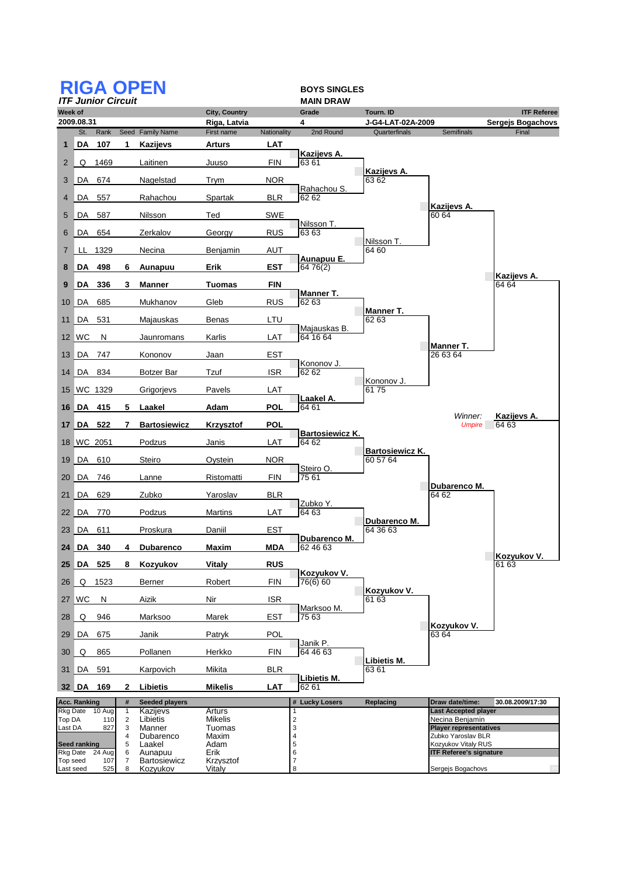|                    | <b>RIGA OPEN</b><br><b>BOYS SINGLES</b><br><b>ITF Junior Circuit</b> |               |                                |                                 |                                      |             |                                 |                                    |                                                |                                         |  |
|--------------------|----------------------------------------------------------------------|---------------|--------------------------------|---------------------------------|--------------------------------------|-------------|---------------------------------|------------------------------------|------------------------------------------------|-----------------------------------------|--|
|                    |                                                                      |               |                                |                                 |                                      |             | <b>MAIN DRAW</b>                |                                    |                                                |                                         |  |
| Week of            | 2009.08.31                                                           |               |                                |                                 | <b>City, Country</b><br>Riga, Latvia |             | Grade<br>4                      | Tourn. ID<br>J-G4-LAT-02A-2009     |                                                | <b>ITF Referee</b><br>Sergejs Bogachovs |  |
|                    | St.                                                                  | Rank          |                                | Seed Family Name                | First name                           | Nationality | 2nd Round                       | Quarterfinals                      | Semifinals                                     | Final                                   |  |
| 1                  | DA                                                                   | 107           | 1                              | Kazijevs                        | <b>Arturs</b>                        | LAT         |                                 |                                    |                                                |                                         |  |
| 2                  | Q                                                                    | 1469          |                                | Laitinen                        | Juuso                                | <b>FIN</b>  | Kazijevs A.<br>63 61            | Kazijevs A.                        |                                                |                                         |  |
| 3                  | DA                                                                   | 674           |                                | Nagelstad                       | Trym                                 | <b>NOR</b>  | Rahachou S.                     | 63 62                              |                                                |                                         |  |
| 4                  | DA                                                                   | 557           |                                | Rahachou                        | Spartak                              | <b>BLR</b>  | 62 62                           |                                    | Kazijevs A.                                    |                                         |  |
| 5                  | DA                                                                   | 587           |                                | Nilsson                         | Ted                                  | <b>SWE</b>  |                                 |                                    | 60 64                                          |                                         |  |
| 6                  | DA                                                                   | 654           |                                | Zerkalov                        | Georgy                               | <b>RUS</b>  | Nilsson T.<br>6363              |                                    |                                                |                                         |  |
| 7                  | LL.                                                                  | 1329          |                                | Necina                          | Benjamin                             | AUT         |                                 | Nilsson T.<br>64 60                |                                                |                                         |  |
| 8                  | DA                                                                   | 498           | 6                              | Aunapuu                         | Erik                                 | EST         | Aunapuu E.<br>64 76(2)          |                                    |                                                |                                         |  |
| 9                  | DA                                                                   | 336           | 3                              | Manner                          | <b>Tuomas</b>                        | FIN         |                                 |                                    |                                                | Kazijevs A.<br>64 64                    |  |
| 10                 | DA                                                                   | 685           |                                | Mukhanov                        | Gleb                                 | <b>RUS</b>  | Manner T.<br>62 63              |                                    |                                                |                                         |  |
|                    |                                                                      |               |                                |                                 |                                      |             |                                 | Manner T.                          |                                                |                                         |  |
| 11                 | DA                                                                   | 531           |                                | Majauskas                       | Benas                                | LTU         | Majauskas B.                    | 62 63                              |                                                |                                         |  |
|                    | 12 WC                                                                | N             |                                | Jaunromans                      | Karlis                               | LAT         | 64 16 64                        |                                    |                                                |                                         |  |
| 13                 | ∥DA                                                                  | 747           |                                | Kononov                         | Jaan                                 | <b>EST</b>  |                                 |                                    | Manner T.<br>26 63 64                          |                                         |  |
|                    | 14 DA                                                                | 834           |                                | <b>Botzer Bar</b>               | Tzuf                                 | <b>ISR</b>  | Kononov J.<br>62 62             |                                    |                                                |                                         |  |
| 15                 |                                                                      | WC 1329       |                                | Grigorjevs                      | Pavels                               | LAT         |                                 | Kononov J.<br>6175                 |                                                |                                         |  |
| 16                 | ∣ DA ∣                                                               | 415           | 5                              | Laakel                          | Adam                                 | POL         | Laakel A.<br>64 61              |                                    |                                                |                                         |  |
| 17                 |                                                                      | DA 522        | 7                              | <b>Bartosiewicz</b>             | Krzysztof                            | <b>POL</b>  |                                 |                                    | Winner:<br><b>Umpire</b>                       | Kazijevs A.<br>64 63                    |  |
| 18                 |                                                                      | WC 2051       |                                | Podzus                          | Janis                                | LAT         | <b>Bartosiewicz K.</b><br>64 62 |                                    |                                                |                                         |  |
| 19                 | ∣DA 610                                                              |               |                                | Steiro                          | Oystein                              | <b>NOR</b>  |                                 | <b>Bartosiewicz K.</b><br>60 57 64 |                                                |                                         |  |
| 20                 | DA 746                                                               |               |                                | Lanne                           | Ristomatti                           | <b>FIN</b>  | Steiro O.<br>75 61              |                                    |                                                |                                         |  |
| 21                 | DA                                                                   | 629           |                                | Zubko                           | Yaroslav                             | <b>BLR</b>  |                                 |                                    | Dubarenco M.<br>64 62                          |                                         |  |
|                    | 22 DA                                                                | 770           |                                | Podzus                          | Martins                              | LAT         | Zubko Y.<br>64 63               |                                    |                                                |                                         |  |
|                    | 23 DA 611                                                            |               |                                | Proskura                        | Daniil                               | <b>EST</b>  |                                 | Dubarenco M.<br>64 36 63           |                                                |                                         |  |
|                    |                                                                      | 24 DA 340     | 4                              | <b>Dubarenco</b>                | <b>Maxim</b>                         | <b>MDA</b>  | Dubarenco M.<br>62 46 63        |                                    |                                                |                                         |  |
|                    | 25 DA                                                                | 525           | 8                              | Kozyukov                        | Vitaly                               | <b>RUS</b>  |                                 |                                    |                                                | Kozyukov V.<br>61 63                    |  |
| 26                 | Q                                                                    | 1523          |                                | Berner                          | Robert                               | <b>FIN</b>  | Kozyukov V.<br>76(6) 60         |                                    |                                                |                                         |  |
|                    | 27 WC                                                                | N             |                                | Aizik                           | Nir                                  | <b>ISR</b>  |                                 | Kozyukov V.<br>61 63               |                                                |                                         |  |
| 28                 | Q                                                                    | 946           |                                | Marksoo                         | Marek                                | <b>EST</b>  | Marksoo M.<br>75 63             |                                    |                                                |                                         |  |
| 29                 | ∥DA                                                                  | 675           |                                | Janik                           | Patryk                               | <b>POL</b>  |                                 |                                    | Kozyukov V.<br>63 64                           |                                         |  |
| 30                 | Q                                                                    | 865           |                                | Pollanen                        | Herkko                               | <b>FIN</b>  | Janik P.<br>64 46 63            |                                    |                                                |                                         |  |
| 31                 | ∣DA                                                                  | 591           |                                | Karpovich                       | Mikita                               | BLR         |                                 | Libietis M.<br>63 61               |                                                |                                         |  |
|                    | 32 DA                                                                | 169           | 2                              | Libietis                        | <b>Mikelis</b>                       | LAT         | Libietis M.<br>62 61            |                                    |                                                |                                         |  |
|                    | Acc. Ranking                                                         |               | $\#$                           | <b>Seeded players</b>           |                                      |             | # Lucky Losers                  | Replacing                          | Draw date/time:                                | 30.08.2009/17:30                        |  |
| Rkg Date<br>Top DA |                                                                      | 10 Aug<br>110 | $\mathbf{1}$<br>$\overline{c}$ | Kazijevs<br>Libietis            | Arturs<br><b>Mikelis</b>             |             | 1<br>$\overline{2}$             |                                    | <b>Last Accepted player</b><br>Necina Benjamin |                                         |  |
| Last DA            |                                                                      | 827           | 3                              | Manner                          | Tuomas                               |             | 3                               |                                    | <b>Player representatives</b>                  |                                         |  |
|                    | <b>Seed ranking</b>                                                  |               | 4<br>5                         | Dubarenco<br>Laakel             | Maxim<br>Adam                        |             | 4<br>5                          |                                    | Zubko Yaroslav BLR<br>Kozyukov Vitaly RUS      |                                         |  |
|                    | Rkg Date                                                             | 24 Aug        | 6                              | Aunapuu                         | Erik                                 |             | 6                               |                                    | <b>ITF Referee's signature</b>                 |                                         |  |
| Top seed           | Last seed                                                            | 107<br>525    | 7<br>8                         | <b>Bartosiewicz</b><br>Kozyukov | Krzysztof<br>Vitaly                  |             | $\overline{7}$<br>8             |                                    | Sergejs Bogachovs                              |                                         |  |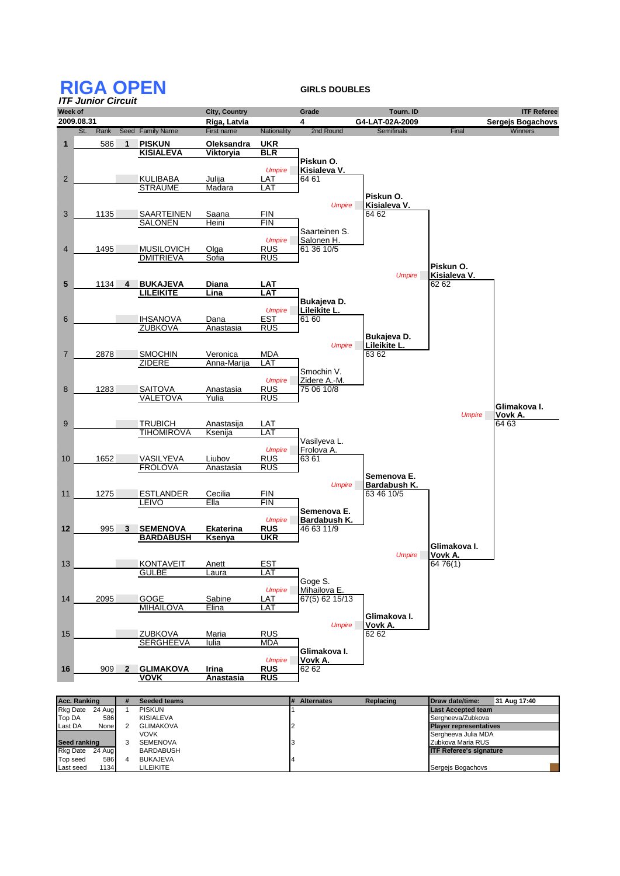## **RIGA OPEN GIRLS DOUBLES**



| Acc. Ranking              | # | <b>Seeded teams</b> | <b>Alternates</b> | Replacing | <b>IDraw date/time:</b>        | 31 Aug 17:40 |  |
|---------------------------|---|---------------------|-------------------|-----------|--------------------------------|--------------|--|
| <b>Rkg Date</b><br>24 Aug |   | <b>PISKUN</b>       |                   |           | <b>Last Accepted team</b>      |              |  |
| Top DA<br>586             |   | <b>KISIALEVA</b>    |                   |           | Sergheeva/Zubkova              |              |  |
| Last DA<br>None           |   | <b>GLIMAKOVA</b>    |                   |           | <b>Player representatives</b>  |              |  |
|                           |   | <b>VOVK</b>         |                   |           | Sergheeva Julia MDA            |              |  |
| Seed ranking              |   | <b>SEMENOVA</b>     |                   |           | Zubkova Maria RUS              |              |  |
| Rkg Date 24 Aug           |   | <b>BARDABUSH</b>    |                   |           | <b>ITF Referee's signature</b> |              |  |
| Top seed<br>586           | 4 | BUKAJEVA            |                   |           |                                |              |  |
| 1134<br>Last seed         |   | <b>LILEIKITE</b>    |                   |           | Sergeis Bogachovs              |              |  |